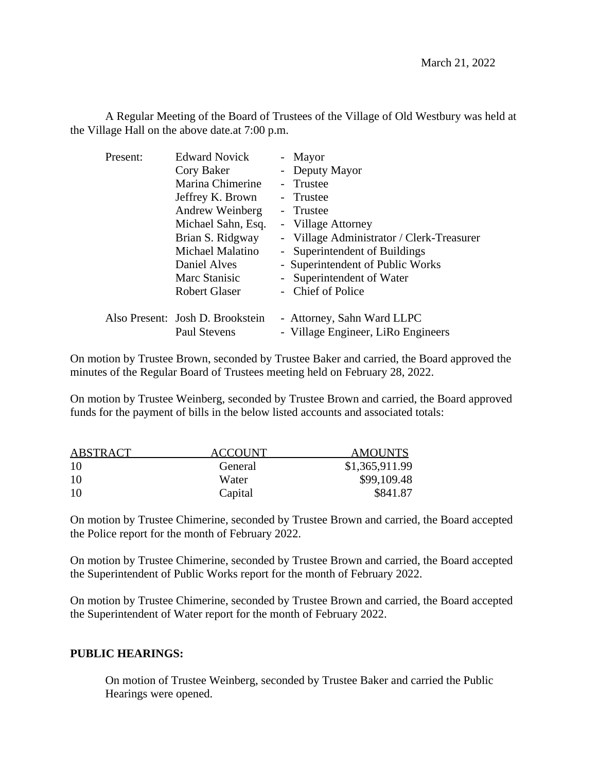A Regular Meeting of the Board of Trustees of the Village of Old Westbury was held at the Village Hall on the above date.at 7:00 p.m.

| Present: | <b>Edward Novick</b>                             | - Mayor                                                          |
|----------|--------------------------------------------------|------------------------------------------------------------------|
|          | Cory Baker                                       | - Deputy Mayor                                                   |
|          | Marina Chimerine                                 | - Trustee                                                        |
|          | Jeffrey K. Brown                                 | - Trustee                                                        |
|          | Andrew Weinberg                                  | - Trustee                                                        |
|          | Michael Sahn, Esq.                               | - Village Attorney                                               |
|          | Brian S. Ridgway                                 | - Village Administrator / Clerk-Treasurer                        |
|          | Michael Malatino                                 | - Superintendent of Buildings                                    |
|          | Daniel Alves                                     | - Superintendent of Public Works                                 |
|          | Marc Stanisic                                    | - Superintendent of Water                                        |
|          | <b>Robert Glaser</b>                             | - Chief of Police                                                |
|          | Also Present: Josh D. Brookstein<br>Paul Stevens | - Attorney, Sahn Ward LLPC<br>- Village Engineer, LiRo Engineers |
|          |                                                  |                                                                  |

On motion by Trustee Brown, seconded by Trustee Baker and carried, the Board approved the minutes of the Regular Board of Trustees meeting held on February 28, 2022.

On motion by Trustee Weinberg, seconded by Trustee Brown and carried, the Board approved funds for the payment of bills in the below listed accounts and associated totals:

| ABSTRACT | <b>ACCOUNT</b> | <b>AMOUNTS</b> |
|----------|----------------|----------------|
| -10      | General        | \$1,365,911.99 |
| -10      | Water          | \$99,109.48    |
| 10       | Capital        | \$841.87       |

On motion by Trustee Chimerine, seconded by Trustee Brown and carried, the Board accepted the Police report for the month of February 2022.

On motion by Trustee Chimerine, seconded by Trustee Brown and carried, the Board accepted the Superintendent of Public Works report for the month of February 2022.

On motion by Trustee Chimerine, seconded by Trustee Brown and carried, the Board accepted the Superintendent of Water report for the month of February 2022.

## **PUBLIC HEARINGS:**

On motion of Trustee Weinberg, seconded by Trustee Baker and carried the Public Hearings were opened.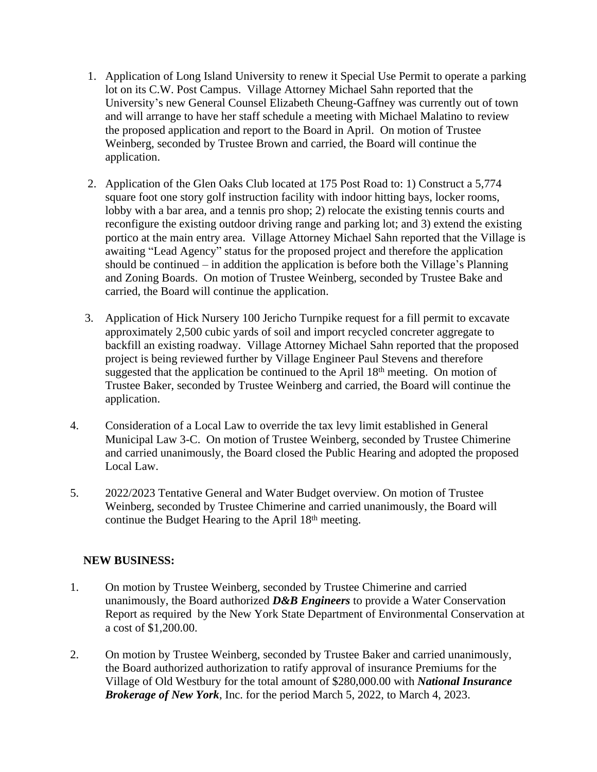- 1. Application of Long Island University to renew it Special Use Permit to operate a parking lot on its C.W. Post Campus. Village Attorney Michael Sahn reported that the University's new General Counsel Elizabeth Cheung-Gaffney was currently out of town and will arrange to have her staff schedule a meeting with Michael Malatino to review the proposed application and report to the Board in April. On motion of Trustee Weinberg, seconded by Trustee Brown and carried, the Board will continue the application.
- 2. Application of the Glen Oaks Club located at 175 Post Road to: 1) Construct a 5,774 square foot one story golf instruction facility with indoor hitting bays, locker rooms, lobby with a bar area, and a tennis pro shop; 2) relocate the existing tennis courts and reconfigure the existing outdoor driving range and parking lot; and 3) extend the existing portico at the main entry area. Village Attorney Michael Sahn reported that the Village is awaiting "Lead Agency" status for the proposed project and therefore the application should be continued – in addition the application is before both the Village's Planning and Zoning Boards. On motion of Trustee Weinberg, seconded by Trustee Bake and carried, the Board will continue the application.
- 3. Application of Hick Nursery 100 Jericho Turnpike request for a fill permit to excavate approximately 2,500 cubic yards of soil and import recycled concreter aggregate to backfill an existing roadway. Village Attorney Michael Sahn reported that the proposed project is being reviewed further by Village Engineer Paul Stevens and therefore suggested that the application be continued to the April 18th meeting. On motion of Trustee Baker, seconded by Trustee Weinberg and carried, the Board will continue the application.
- 4. Consideration of a Local Law to override the tax levy limit established in General Municipal Law 3-C. On motion of Trustee Weinberg, seconded by Trustee Chimerine and carried unanimously, the Board closed the Public Hearing and adopted the proposed Local Law.
- 5. 2022/2023 Tentative General and Water Budget overview. On motion of Trustee Weinberg, seconded by Trustee Chimerine and carried unanimously, the Board will continue the Budget Hearing to the April 18th meeting.

## **NEW BUSINESS:**

- 1. On motion by Trustee Weinberg, seconded by Trustee Chimerine and carried unanimously, the Board authorized *D&B Engineers* to provide a Water Conservation Report as required by the New York State Department of Environmental Conservation at a cost of \$1,200.00.
- 2. On motion by Trustee Weinberg, seconded by Trustee Baker and carried unanimously, the Board authorized authorization to ratify approval of insurance Premiums for the Village of Old Westbury for the total amount of \$280,000.00 with *National Insurance Brokerage of New York*, Inc. for the period March 5, 2022, to March 4, 2023.